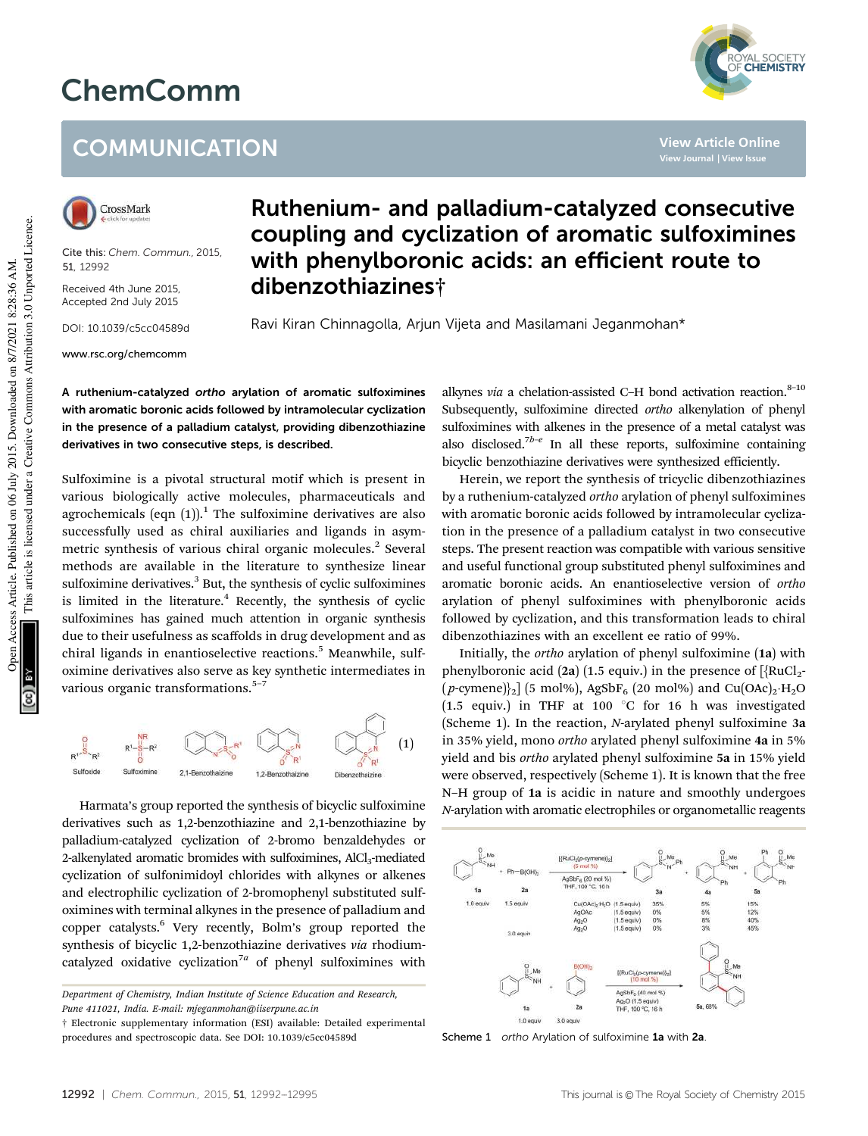## ChemComm

## **COMMUNICATION**



Cite this: *Chem. Commun.,* 2015, 51, 12992

Received 4th June 2015, Accepted 2nd July 2015

DOI: 10.1039/c5cc04589d

www.rsc.org/chemcomm

## Ruthenium- and palladium-catalyzed consecutive coupling and cyclization of aromatic sulfoximines with phenylboronic acids: an efficient route to dibenzothiazines†

Ravi Kiran Chinnagolla, Arjun Vijeta and Masilamani Jeganmohan\*

A ruthenium-catalyzed ortho arylation of aromatic sulfoximines with aromatic boronic acids followed by intramolecular cyclization in the presence of a palladium catalyst, providing dibenzothiazine derivatives in two consecutive steps, is described.

Sulfoximine is a pivotal structural motif which is present in various biologically active molecules, pharmaceuticals and agrochemicals (eqn  $(1)$ ).<sup>1</sup> The sulfoximine derivatives are also successfully used as chiral auxiliaries and ligands in asymmetric synthesis of various chiral organic molecules.<sup>2</sup> Several methods are available in the literature to synthesize linear sulfoximine derivatives.<sup>3</sup> But, the synthesis of cyclic sulfoximines is limited in the literature. $4$  Recently, the synthesis of cyclic sulfoximines has gained much attention in organic synthesis due to their usefulness as scaffolds in drug development and as chiral ligands in enantioselective reactions.<sup>5</sup> Meanwhile, sulfoximine derivatives also serve as key synthetic intermediates in various organic transformations.<sup>5-7</sup>



Harmata's group reported the synthesis of bicyclic sulfoximine derivatives such as 1,2-benzothiazine and 2,1-benzothiazine by palladium-catalyzed cyclization of 2-bromo benzaldehydes or 2-alkenylated aromatic bromides with sulfoximines, AlCl<sub>3</sub>-mediated cyclization of sulfonimidoyl chlorides with alkynes or alkenes and electrophilic cyclization of 2-bromophenyl substituted sulfoximines with terminal alkynes in the presence of palladium and copper catalysts.<sup>6</sup> Very recently, Bolm's group reported the synthesis of bicyclic 1,2-benzothiazine derivatives *via* rhodiumcatalyzed oxidative cyclization<sup>7a</sup> of phenyl sulfoximines with alkynes *via* a chelation-assisted C-H bond activation reaction.<sup>8-10</sup> Subsequently, sulfoximine directed *ortho* alkenylation of phenyl sulfoximines with alkenes in the presence of a metal catalyst was also disclosed.<sup>7b-e</sup> In all these reports, sulfoximine containing bicyclic benzothiazine derivatives were synthesized efficiently.

**View Article Online**

YAL SOCIETY<br>**CHEMISTRY** 

Herein, we report the synthesis of tricyclic dibenzothiazines by a ruthenium-catalyzed *ortho* arylation of phenyl sulfoximines with aromatic boronic acids followed by intramolecular cyclization in the presence of a palladium catalyst in two consecutive steps. The present reaction was compatible with various sensitive and useful functional group substituted phenyl sulfoximines and aromatic boronic acids. An enantioselective version of *ortho* arylation of phenyl sulfoximines with phenylboronic acids followed by cyclization, and this transformation leads to chiral dibenzothiazines with an excellent ee ratio of 99%.

Initially, the *ortho* arylation of phenyl sulfoximine (1a) with phenylboronic acid (2a) (1.5 equiv.) in the presence of  $[\text{RuCl}_2$ - $(p\text{-cymene})_{2}$ ] (5 mol%), AgSbF<sub>6</sub> (20 mol%) and Cu(OAc)<sub>2</sub>·H<sub>2</sub>O (1.5 equiv.) in THF at 100  $^{\circ}$ C for 16 h was investigated (Scheme 1). In the reaction, *N*-arylated phenyl sulfoximine 3a in 35% yield, mono *ortho* arylated phenyl sulfoximine 4a in 5% yield and bis *ortho* arylated phenyl sulfoximine 5a in 15% yield were observed, respectively (Scheme 1). It is known that the free N–H group of 1a is acidic in nature and smoothly undergoes *N*-arylation with aromatic electrophiles or organometallic reagents



Scheme 1 ortho Arylation of sulfoximine 1a with 2a

*Department of Chemistry, Indian Institute of Science Education and Research, Pune 411021, India. E-mail: mjeganmohan@iiserpune.ac.in*

<sup>†</sup> Electronic supplementary information (ESI) available: Detailed experimental procedures and spectroscopic data. See DOI: 10.1039/c5cc04589d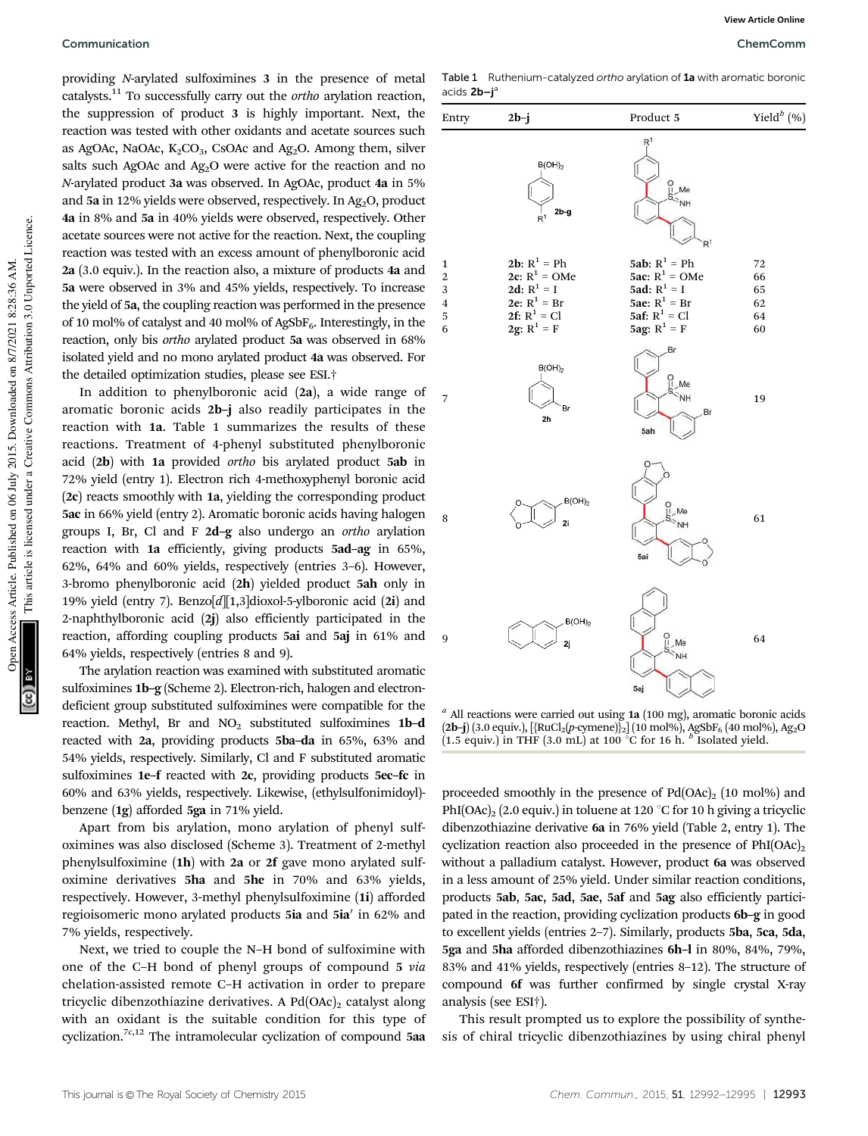providing *N*-arylated sulfoximines 3 in the presence of metal catalysts.<sup>11</sup> To successfully carry out the *ortho* arylation reaction, the suppression of product 3 is highly important. Next, the reaction was tested with other oxidants and acetate sources such as AgOAc, NaOAc,  $K_2CO_3$ , CsOAc and Ag<sub>2</sub>O. Among them, silver salts such AgOAc and  $Ag<sub>2</sub>O$  were active for the reaction and no *N*-arylated product 3a was observed. In AgOAc, product 4a in 5% and 5a in 12% yields were observed, respectively. In Ag<sub>2</sub>O, product 4a in 8% and 5a in 40% yields were observed, respectively. Other acetate sources were not active for the reaction. Next, the coupling reaction was tested with an excess amount of phenylboronic acid 2a (3.0 equiv.). In the reaction also, a mixture of products 4a and 5a were observed in 3% and 45% yields, respectively. To increase the yield of 5a, the coupling reaction was performed in the presence of 10 mol% of catalyst and 40 mol% of AgSbF<sub>6</sub>. Interestingly, in the reaction, only bis *ortho* arylated product 5a was observed in 68% isolated yield and no mono arylated product 4a was observed. For the detailed optimization studies, please see ESI.†

In addition to phenylboronic acid (2a), a wide range of aromatic boronic acids 2b–j also readily participates in the reaction with 1a. Table 1 summarizes the results of these reactions. Treatment of 4-phenyl substituted phenylboronic acid (2b) with 1a provided *ortho* bis arylated product 5ab in 72% yield (entry 1). Electron rich 4-methoxyphenyl boronic acid (2c) reacts smoothly with 1a, yielding the corresponding product 5ac in 66% yield (entry 2). Aromatic boronic acids having halogen groups I, Br, Cl and F 2d–g also undergo an *ortho* arylation reaction with 1a efficiently, giving products 5ad–ag in 65%, 62%, 64% and 60% yields, respectively (entries 3–6). However, 3-bromo phenylboronic acid (2h) yielded product 5ah only in 19% yield (entry 7). Benzo[*d*][1,3]dioxol-5-ylboronic acid (2i) and 2-naphthylboronic acid (2j) also efficiently participated in the reaction, affording coupling products 5ai and 5aj in 61% and 64% yields, respectively (entries 8 and 9).

The arylation reaction was examined with substituted aromatic sulfoximines 1b-g (Scheme 2). Electron-rich, halogen and electrondeficient group substituted sulfoximines were compatible for the reaction. Methyl, Br and  $NO<sub>2</sub>$  substituted sulfoximines 1b-d reacted with 2a, providing products 5ba–da in 65%, 63% and 54% yields, respectively. Similarly, Cl and F substituted aromatic sulfoximines 1e–f reacted with 2c, providing products 5ec–fc in 60% and 63% yields, respectively. Likewise, (ethylsulfonimidoyl) benzene (1g) afforded 5ga in 71% yield.

Apart from bis arylation, mono arylation of phenyl sulfoximines was also disclosed (Scheme 3). Treatment of 2-methyl phenylsulfoximine (1h) with 2a or 2f gave mono arylated sulfoximine derivatives 5ha and 5he in 70% and 63% yields, respectively. However, 3-methyl phenylsulfoximine (1i) afforded regioisomeric mono arylated products 5ia and 5ia' in 62% and 7% yields, respectively.

Next, we tried to couple the N–H bond of sulfoximine with one of the C–H bond of phenyl groups of compound 5 *via* chelation-assisted remote C–H activation in order to prepare tricyclic dibenzothiazine derivatives. A  $Pd(OAc)_2$  catalyst along with an oxidant is the suitable condition for this type of cyclization.<sup>7c,12</sup> The intramolecular cyclization of compound 5aa

Table 1 Ruthenium-catalyzed ortho arylation of 1a with aromatic boronic acids 2b-j<sup>a</sup>



*a* All reactions were carried out using 1a (100 mg), aromatic boronic acids (2**b-j**) (3.0 equiv.), [{RuCl<sub>2</sub>(*p-*cymene)}<sub>2</sub>] (10 mol%), AgSbF<sub>6</sub> (40 mol%), Ag<sub>2</sub>O<br>(1.5 equiv.) in THF (3.0 mL) at 100 °C for 16 h. <sup>*b*</sup> Isolated yield.

proceeded smoothly in the presence of  $Pd(OAc)<sub>2</sub>$  (10 mol%) and PhI(OAc)<sub>2</sub> (2.0 equiv.) in toluene at 120  $\degree$ C for 10 h giving a tricyclic dibenzothiazine derivative 6a in 76% yield (Table 2, entry 1). The cyclization reaction also proceeded in the presence of  $PhI(OAc)_2$ without a palladium catalyst. However, product 6a was observed in a less amount of 25% yield. Under similar reaction conditions, products 5ab, 5ac, 5ad, 5ae, 5af and 5ag also efficiently participated in the reaction, providing cyclization products 6b–g in good to excellent yields (entries 2–7). Similarly, products 5ba, 5ca, 5da, 5ga and 5ha afforded dibenzothiazines 6h–l in 80%, 84%, 79%, 83% and 41% yields, respectively (entries 8–12). The structure of compound 6f was further confirmed by single crystal X-ray analysis (see ESI†).

This result prompted us to explore the possibility of synthesis of chiral tricyclic dibenzothiazines by using chiral phenyl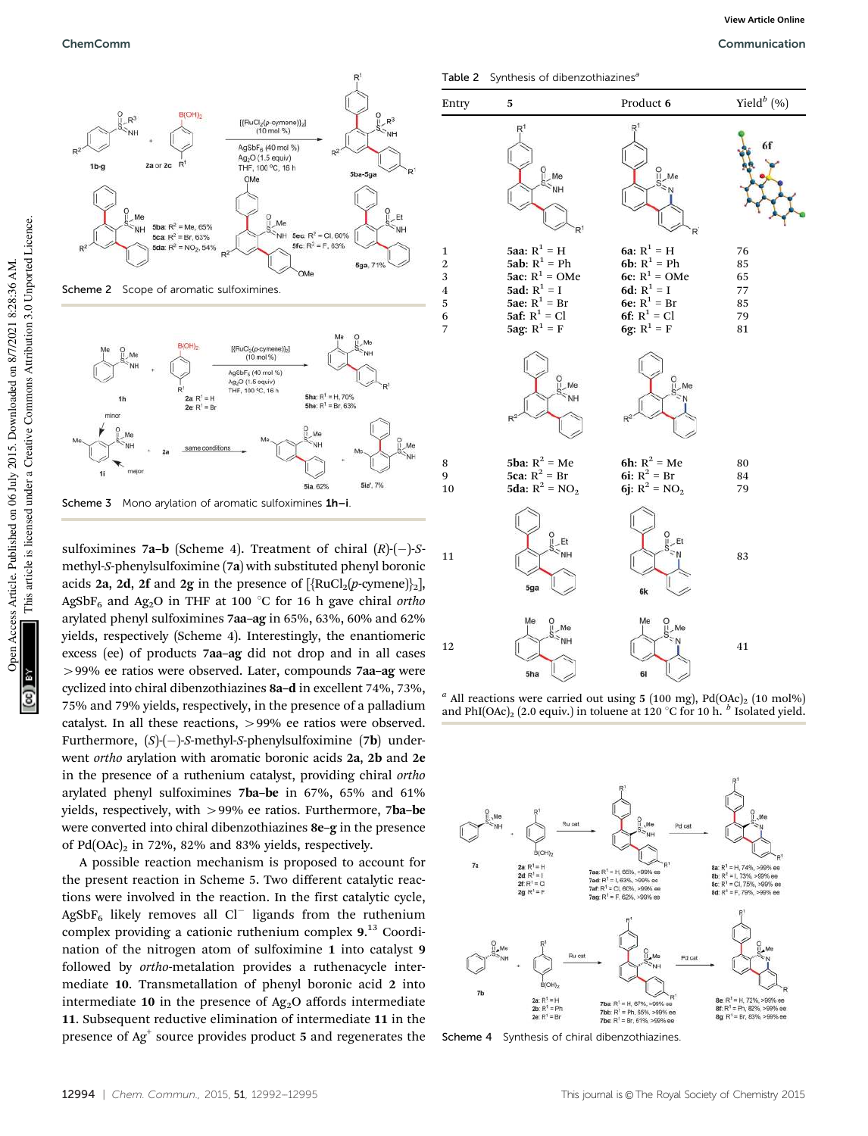

sulfoximines 7a–b (Scheme 4). Treatment of chiral  $(R)$ - $(-)$ -Smethyl-*S*-phenylsulfoximine (7a) with substituted phenyl boronic acids 2a, 2d, 2f and 2g in the presence of  $[\text{RuCl}_2(p\text{-symene})]_2]$ , AgSbF<sub>6</sub> and Ag<sub>2</sub>O in THF at 100 °C for 16 h gave chiral *ortho* arylated phenyl sulfoximines 7aa–ag in 65%, 63%, 60% and 62% yields, respectively (Scheme 4). Interestingly, the enantiomeric excess (ee) of products 7aa–ag did not drop and in all cases 499% ee ratios were observed. Later, compounds 7aa–ag were cyclized into chiral dibenzothiazines 8a–d in excellent 74%, 73%, 75% and 79% yields, respectively, in the presence of a palladium catalyst. In all these reactions, 499% ee ratios were observed. Furthermore,  $(S)$ -(-)-*S*-methyl-*S*-phenylsulfoximine (7**b**) underwent *ortho* arylation with aromatic boronic acids 2a, 2b and 2e in the presence of a ruthenium catalyst, providing chiral *ortho* arylated phenyl sulfoximines 7ba–be in 67%, 65% and 61% yields, respectively, with  $>99\%$  ee ratios. Furthermore, 7ba–be were converted into chiral dibenzothiazines 8e–g in the presence of  $Pd(OAc)_2$  in 72%, 82% and 83% yields, respectively.

A possible reaction mechanism is proposed to account for the present reaction in Scheme 5. Two different catalytic reactions were involved in the reaction. In the first catalytic cycle,  $AgSbF<sub>6</sub>$  likely removes all Cl<sup>-</sup> ligands from the ruthenium complex providing a cationic ruthenium complex 9.<sup>13</sup> Coordination of the nitrogen atom of sulfoximine 1 into catalyst 9 followed by *ortho*-metalation provides a ruthenacycle intermediate 10. Transmetallation of phenyl boronic acid 2 into intermediate 10 in the presence of  $Ag<sub>2</sub>O$  affords intermediate 11. Subsequent reductive elimination of intermediate 11 in the presence of  $Ag^+$  source provides product 5 and regenerates the

Table 2 Synthesis of dibenzothiazines<sup>6</sup>



**View Article Online**

 $a$  All reactions were carried out using 5 (100 mg), Pd(OAc)<sub>2</sub> (10 mol%) and PhI(OAc)<sub>2</sub> (2.0 equiv.) in toluene at 120 °C for 10 h.  $^b$  Isolated yield.



Scheme 4 Synthesis of chiral dibenzothiazines